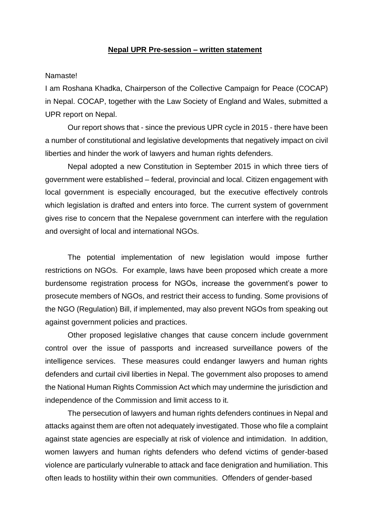## **Nepal UPR Pre-session – written statement**

## Namaste!

I am Roshana Khadka, Chairperson of the Collective Campaign for Peace (COCAP) in Nepal. COCAP, together with the Law Society of England and Wales, submitted a UPR report on Nepal.

Our report shows that - since the previous UPR cycle in 2015 - there have been a number of constitutional and legislative developments that negatively impact on civil liberties and hinder the work of lawyers and human rights defenders.

Nepal adopted a new Constitution in September 2015 in which three tiers of government were established – federal, provincial and local. Citizen engagement with local government is especially encouraged, but the executive effectively controls which legislation is drafted and enters into force. The current system of government gives rise to concern that the Nepalese government can interfere with the regulation and oversight of local and international NGOs.

The potential implementation of new legislation would impose further restrictions on NGOs. For example, laws have been proposed which create a more burdensome registration process for NGOs, increase the government's power to prosecute members of NGOs, and restrict their access to funding. Some provisions of the NGO (Regulation) Bill, if implemented, may also prevent NGOs from speaking out against government policies and practices.

Other proposed legislative changes that cause concern include government control over the issue of passports and increased surveillance powers of the intelligence services. These measures could endanger lawyers and human rights defenders and curtail civil liberties in Nepal. The government also proposes to amend the National Human Rights Commission Act which may undermine the jurisdiction and independence of the Commission and limit access to it.

The persecution of lawyers and human rights defenders continues in Nepal and attacks against them are often not adequately investigated. Those who file a complaint against state agencies are especially at risk of violence and intimidation. In addition, women lawyers and human rights defenders who defend victims of gender-based violence are particularly vulnerable to attack and face denigration and humiliation. This often leads to hostility within their own communities. Offenders of gender-based